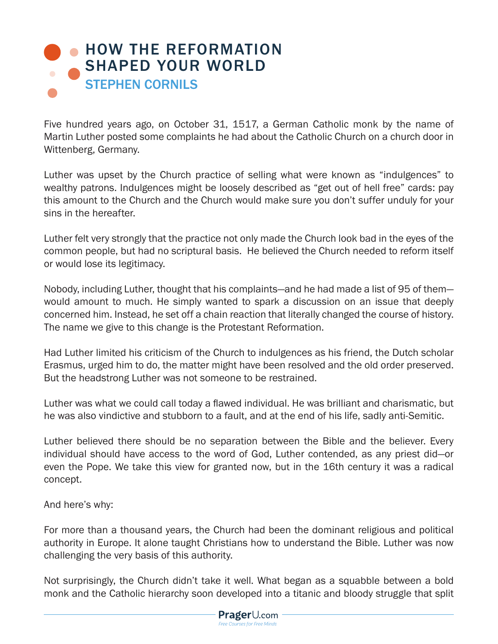## **• [HOW THE REFORMATION](https://www.prageru.com/videos/how-reformation-shaped-your-world)** SHAPED YOUR WORLD STEPHEN CORNILS

Five hundred years ago, on October 31, 1517, a German Catholic monk by the name of Martin Luther posted some complaints he had about the Catholic Church on a church door in Wittenberg, Germany.

Luther was upset by the Church practice of selling what were known as "indulgences" to wealthy patrons. Indulgences might be loosely described as "get out of hell free" cards: pay this amount to the Church and the Church would make sure you don't suffer unduly for your sins in the hereafter.

Luther felt very strongly that the practice not only made the Church look bad in the eyes of the common people, but had no scriptural basis. He believed the Church needed to reform itself or would lose its legitimacy.

Nobody, including Luther, thought that his complaints—and he had made a list of 95 of them would amount to much. He simply wanted to spark a discussion on an issue that deeply concerned him. Instead, he set off a chain reaction that literally changed the course of history. The name we give to this change is the Protestant Reformation.

Had Luther limited his criticism of the Church to indulgences as his friend, the Dutch scholar Erasmus, urged him to do, the matter might have been resolved and the old order preserved. But the headstrong Luther was not someone to be restrained.

Luther was what we could call today a flawed individual. He was brilliant and charismatic, but he was also vindictive and stubborn to a fault, and at the end of his life, sadly anti-Semitic.

Luther believed there should be no separation between the Bible and the believer. Every individual should have access to the word of God, Luther contended, as any priest did—or even the Pope. We take this view for granted now, but in the 16th century it was a radical concept.

And here's why:

For more than a thousand years, the Church had been the dominant religious and political authority in Europe. It alone taught Christians how to understand the Bible. Luther was now challenging the very basis of this authority.

Not surprisingly, the Church didn't take it well. What began as a squabble between a bold monk and the Catholic hierarchy soon developed into a titanic and bloody struggle that split